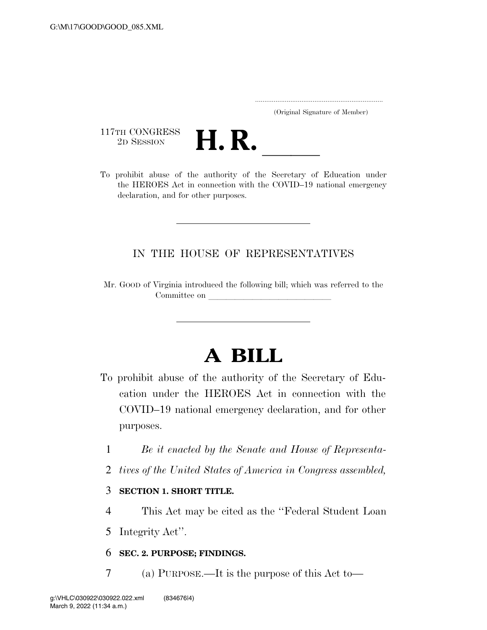..................................................................... (Original Signature of Member)

117TH CONGRESS<br>2D SESSION



117TH CONGRESS<br>
2D SESSION<br>
To prohibit abuse of the authority of the Secretary of Education under the HEROES Act in connection with the COVID–19 national emergency declaration, and for other purposes.

## IN THE HOUSE OF REPRESENTATIVES

Mr. GOOD of Virginia introduced the following bill; which was referred to the Committee on

# **A BILL**

- To prohibit abuse of the authority of the Secretary of Education under the HEROES Act in connection with the COVID–19 national emergency declaration, and for other purposes.
	- 1 *Be it enacted by the Senate and House of Representa-*
	- 2 *tives of the United States of America in Congress assembled,*

### 3 **SECTION 1. SHORT TITLE.**

- 4 This Act may be cited as the ''Federal Student Loan
- 5 Integrity Act''.

### 6 **SEC. 2. PURPOSE; FINDINGS.**

7 (a) PURPOSE.—It is the purpose of this Act to—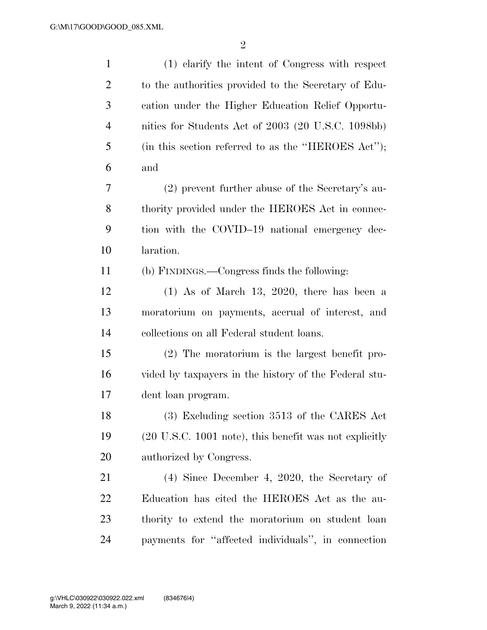| $\mathbf{1}$   | (1) elarify the intent of Congress with respect        |
|----------------|--------------------------------------------------------|
| $\overline{2}$ | to the authorities provided to the Secretary of Edu-   |
| 3              | cation under the Higher Education Relief Opportu-      |
| $\overline{4}$ | nities for Students Act of 2003 (20 U.S.C. 1098bb)     |
| 5              | (in this section referred to as the "HEROES Act");     |
| 6              | and                                                    |
| 7              | (2) prevent further abuse of the Secretary's au-       |
| 8              | thority provided under the HEROES Act in connec-       |
| 9              | tion with the COVID-19 national emergency dec-         |
| 10             | laration.                                              |
| 11             | (b) FINDINGS.—Congress finds the following:            |
| 12             | $(1)$ As of March 13, 2020, there has been a           |
| 13             | moratorium on payments, accrual of interest, and       |
| 14             | collections on all Federal student loans.              |
| 15             | (2) The moratorium is the largest benefit pro-         |
| 16             | vided by taxpayers in the history of the Federal stu-  |
| 17             | dent loan program.                                     |
| 18             | $(3)$ Excluding section 3513 of the CARES Act          |
| 19             | (20 U.S.C. 1001 note), this benefit was not explicitly |
| 20             | authorized by Congress.                                |
| 21             | $(4)$ Since December 4, 2020, the Secretary of         |
| 22             | Education has cited the HEROES Act as the au-          |
| 23             | thority to extend the moratorium on student loan       |
| 24             | payments for "affected individuals", in connection     |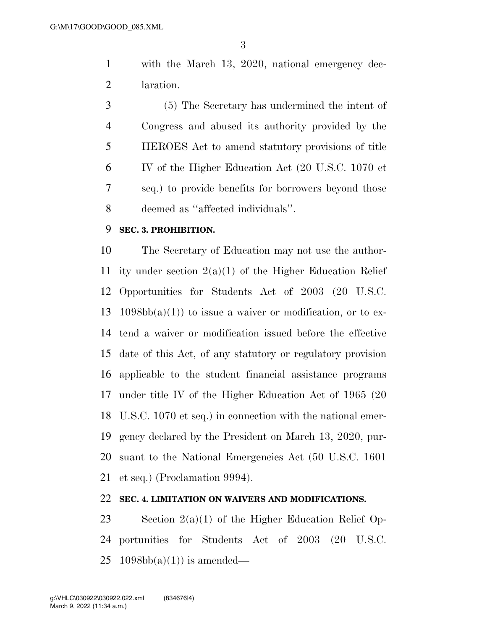with the March 13, 2020, national emergency dec-laration.

 (5) The Secretary has undermined the intent of Congress and abused its authority provided by the HEROES Act to amend statutory provisions of title IV of the Higher Education Act (20 U.S.C. 1070 et seq.) to provide benefits for borrowers beyond those deemed as ''affected individuals''.

#### **SEC. 3. PROHIBITION.**

 The Secretary of Education may not use the author-11 ity under section  $2(a)(1)$  of the Higher Education Relief Opportunities for Students Act of 2003 (20 U.S.C. 13 1098bb(a)(1)) to issue a waiver or modification, or to ex- tend a waiver or modification issued before the effective date of this Act, of any statutory or regulatory provision applicable to the student financial assistance programs under title IV of the Higher Education Act of 1965 (20 U.S.C. 1070 et seq.) in connection with the national emer- gency declared by the President on March 13, 2020, pur- suant to the National Emergencies Act (50 U.S.C. 1601 et seq.) (Proclamation 9994).

#### **SEC. 4. LIMITATION ON WAIVERS AND MODIFICATIONS.**

 Section 2(a)(1) of the Higher Education Relief Op- portunities for Students Act of 2003 (20 U.S.C.  $25 \text{ } 1098 \text{bb}(a)(1)$  is amended